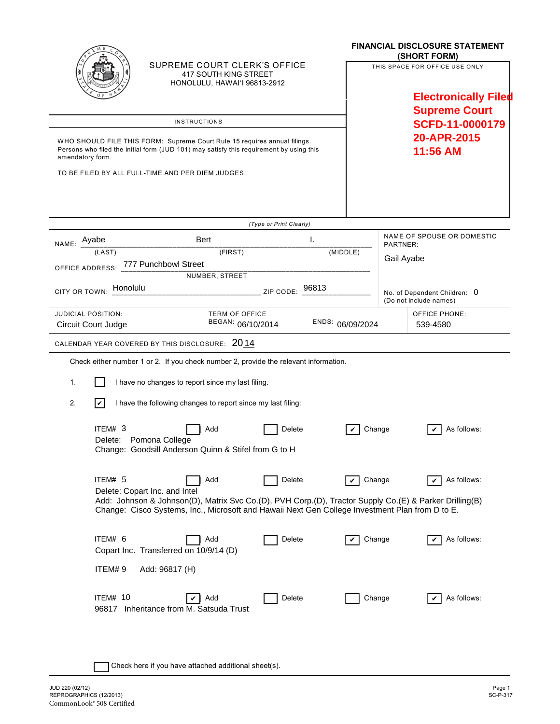|                                                                                                                                                                                          | SUPREME COURT CLERK'S OFFICE<br>417 SOUTH KING STREET<br>HONOLULU, HAWAI'I 96813-2912                                            |                                                                |        |  |                                                   | <b>FINANCIAL DISCLOSURE STATEMENT</b><br>(SHORT FORM)<br>THIS SPACE FOR OFFICE USE ONLY<br><b>Electronically Filed</b><br><b>Supreme Court</b> |                                                                                                                            |  |
|------------------------------------------------------------------------------------------------------------------------------------------------------------------------------------------|----------------------------------------------------------------------------------------------------------------------------------|----------------------------------------------------------------|--------|--|---------------------------------------------------|------------------------------------------------------------------------------------------------------------------------------------------------|----------------------------------------------------------------------------------------------------------------------------|--|
| <b>INSTRUCTIONS</b>                                                                                                                                                                      |                                                                                                                                  |                                                                |        |  | <b>SCFD-11-0000179</b><br>20-APR-2015<br>11:56 AM |                                                                                                                                                |                                                                                                                            |  |
| WHO SHOULD FILE THIS FORM: Supreme Court Rule 15 requires annual filings.<br>Persons who filed the initial form (JUD 101) may satisfy this requirement by using this<br>amendatory form. |                                                                                                                                  |                                                                |        |  |                                                   |                                                                                                                                                |                                                                                                                            |  |
|                                                                                                                                                                                          | TO BE FILED BY ALL FULL-TIME AND PER DIEM JUDGES.                                                                                |                                                                |        |  |                                                   |                                                                                                                                                |                                                                                                                            |  |
|                                                                                                                                                                                          | (Type or Print Clearly)                                                                                                          |                                                                |        |  |                                                   |                                                                                                                                                | NAME OF SPOUSE OR DOMESTIC                                                                                                 |  |
| NAME: Ayabe<br>(LAST)<br>OFFICE ADDRESS: 777 Punchbowl Street                                                                                                                            | Bert<br>(FIRST)<br>NUMBER, STREET                                                                                                | Ι.<br>(MIDDLE)                                                 |        |  | PARTNER:<br>Gail Ayabe                            |                                                                                                                                                |                                                                                                                            |  |
| CITY OR TOWN: Honolulu<br>96813<br>ZIP CODE:                                                                                                                                             |                                                                                                                                  |                                                                |        |  |                                                   |                                                                                                                                                | No. of Dependent Children: 0<br>(Do not include names)                                                                     |  |
| <b>JUDICIAL POSITION:</b><br>Circuit Court Judge                                                                                                                                         |                                                                                                                                  | <b>TERM OF OFFICE</b><br>BEGAN: 06/10/2014<br>ENDS: 06/09/2024 |        |  |                                                   |                                                                                                                                                | <b>OFFICE PHONE:</b><br>539-4580                                                                                           |  |
| CALENDAR YEAR COVERED BY THIS DISCLOSURE: 2014                                                                                                                                           |                                                                                                                                  |                                                                |        |  |                                                   |                                                                                                                                                |                                                                                                                            |  |
|                                                                                                                                                                                          | Check either number 1 or 2. If you check number 2, provide the relevant information.                                             |                                                                |        |  |                                                   |                                                                                                                                                |                                                                                                                            |  |
| 1.<br>I have no changes to report since my last filing.                                                                                                                                  |                                                                                                                                  |                                                                |        |  |                                                   |                                                                                                                                                |                                                                                                                            |  |
| 2.<br>V<br>I have the following changes to report since my last filing:                                                                                                                  |                                                                                                                                  |                                                                |        |  |                                                   |                                                                                                                                                |                                                                                                                            |  |
| ITEM# 3                                                                                                                                                                                  | Delete: Pomona College<br>Change: Goodsill Anderson Quinn & Stifel from G to H                                                   | Add                                                            | Delete |  | Change                                            |                                                                                                                                                | As follows:                                                                                                                |  |
| ITEM# 5                                                                                                                                                                                  | Delete: Copart Inc. and Intel<br>Change: Cisco Systems, Inc., Microsoft and Hawaii Next Gen College Investment Plan from D to E. | Add                                                            | Delete |  | Change<br>V                                       |                                                                                                                                                | As follows:<br>V<br>Add: Johnson & Johnson(D), Matrix Svc Co.(D), PVH Corp.(D), Tractor Supply Co.(E) & Parker Drilling(B) |  |
| ITEM# 6<br>ITEM#9                                                                                                                                                                        | Copart Inc. Transferred on 10/9/14 (D)<br>Add: 96817 (H)                                                                         | Add                                                            | Delete |  | Change                                            |                                                                                                                                                | As follows:                                                                                                                |  |
| ITEM# 10                                                                                                                                                                                 | ✓<br>96817 Inheritance from M. Satsuda Trust                                                                                     | Add                                                            | Delete |  | Change                                            |                                                                                                                                                | As follows:                                                                                                                |  |

| Check here if you have attached additional sheet(s).